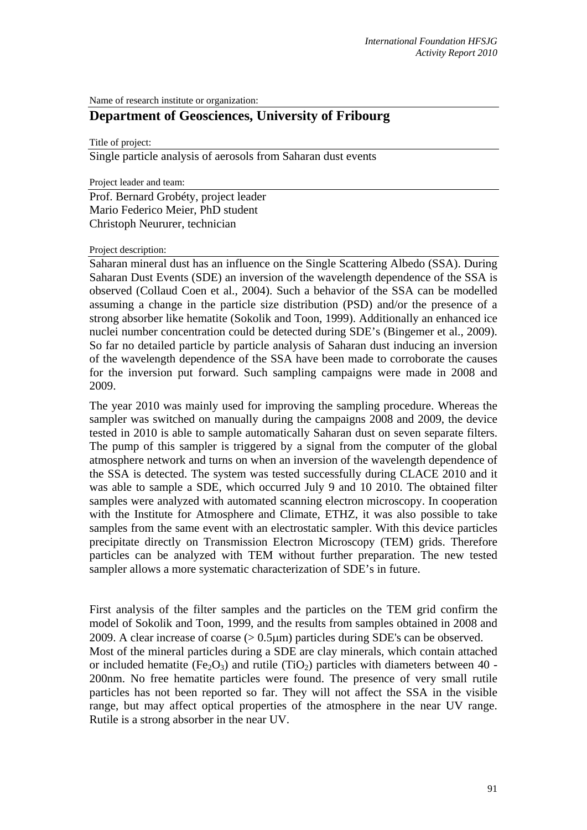Name of research institute or organization:

## **Department of Geosciences, University of Fribourg**

Title of project:

Single particle analysis of aerosols from Saharan dust events

Project leader and team:

Prof. Bernard Grobéty, project leader Mario Federico Meier, PhD student Christoph Neururer, technician

## Project description:

Saharan mineral dust has an influence on the Single Scattering Albedo (SSA). During Saharan Dust Events (SDE) an inversion of the wavelength dependence of the SSA is observed (Collaud Coen et al., 2004). Such a behavior of the SSA can be modelled assuming a change in the particle size distribution (PSD) and/or the presence of a strong absorber like hematite (Sokolik and Toon, 1999). Additionally an enhanced ice nuclei number concentration could be detected during SDE's (Bingemer et al., 2009). So far no detailed particle by particle analysis of Saharan dust inducing an inversion of the wavelength dependence of the SSA have been made to corroborate the causes for the inversion put forward. Such sampling campaigns were made in 2008 and 2009.

The year 2010 was mainly used for improving the sampling procedure. Whereas the sampler was switched on manually during the campaigns 2008 and 2009, the device tested in 2010 is able to sample automatically Saharan dust on seven separate filters. The pump of this sampler is triggered by a signal from the computer of the global atmosphere network and turns on when an inversion of the wavelength dependence of the SSA is detected. The system was tested successfully during CLACE 2010 and it was able to sample a SDE, which occurred July 9 and 10 2010. The obtained filter samples were analyzed with automated scanning electron microscopy. In cooperation with the Institute for Atmosphere and Climate, ETHZ, it was also possible to take samples from the same event with an electrostatic sampler. With this device particles precipitate directly on Transmission Electron Microscopy (TEM) grids. Therefore particles can be analyzed with TEM without further preparation. The new tested sampler allows a more systematic characterization of SDE's in future.

First analysis of the filter samples and the particles on the TEM grid confirm the model of Sokolik and Toon, 1999, and the results from samples obtained in 2008 and 2009. A clear increase of coarse  $(> 0.5 \mu m)$  particles during SDE's can be observed. Most of the mineral particles during a SDE are clay minerals, which contain attached or included hematite (Fe<sub>2</sub>O<sub>3</sub>) and rutile (TiO<sub>2</sub>) particles with diameters between 40 -200nm. No free hematite particles were found. The presence of very small rutile particles has not been reported so far. They will not affect the SSA in the visible range, but may affect optical properties of the atmosphere in the near UV range. Rutile is a strong absorber in the near UV.